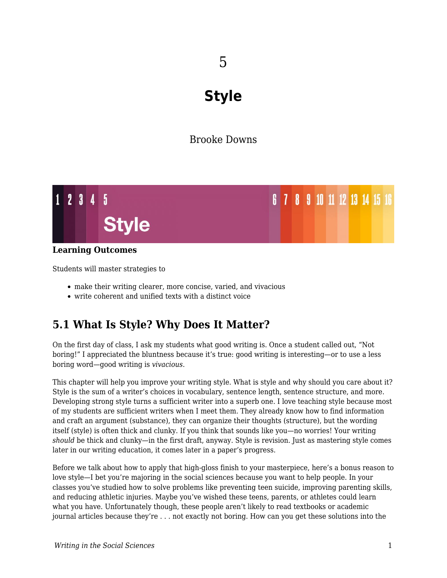# **Style**

## Brooke Downs



### **Learning Outcomes**

Students will master strategies to

- make their writing clearer, more concise, varied, and vivacious
- write coherent and unified texts with a distinct voice

## **5.1 What Is Style? Why Does It Matter?**

On the first day of class, I ask my students what good writing is. Once a student called out, "Not boring!" I appreciated the bluntness because it's true: good writing is interesting—or to use a less boring word—good writing is *vivacious*.

This chapter will help you improve your writing style. What is style and why should you care about it? Style is the sum of a writer's choices in vocabulary, sentence length, sentence structure, and more. Developing strong style turns a sufficient writer into a superb one. I love teaching style because most of my students are sufficient writers when I meet them. They already know how to find information and craft an argument (substance), they can organize their thoughts (structure), but the wording itself (style) is often thick and clunky. If you think that sounds like you—no worries! Your writing *should* be thick and clunky—in the first draft, anyway. Style is revision. Just as mastering style comes later in our writing education, it comes later in a paper's progress.

Before we talk about how to apply that high-gloss finish to your masterpiece, here's a bonus reason to love style—I bet you're majoring in the social sciences because you want to help people. In your classes you've studied how to solve problems like preventing teen suicide, improving parenting skills, and reducing athletic injuries. Maybe you've wished these teens, parents, or athletes could learn what you have. Unfortunately though, these people aren't likely to read textbooks or academic journal articles because they're . . . not exactly not boring. How can you get these solutions into the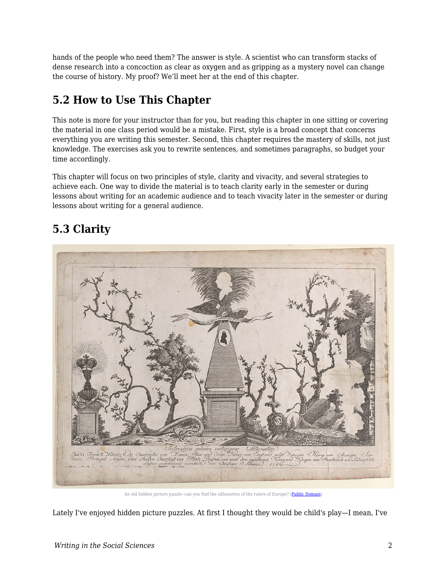hands of the people who need them? The answer is style. A scientist who can transform stacks of dense research into a concoction as clear as oxygen and as gripping as a mystery novel can change the course of history. My proof? We'll meet her at the end of this chapter.

## **5.2 How to Use This Chapter**

This note is more for your instructor than for you, but reading this chapter in one sitting or covering the material in one class period would be a mistake. First, style is a broad concept that concerns everything you are writing this semester. Second, this chapter requires the mastery of skills, not just knowledge. The exercises ask you to rewrite sentences, and sometimes paragraphs, so budget your time accordingly.

This chapter will focus on two principles of style, clarity and vivacity, and several strategies to achieve each. One way to divide the material is to teach clarity early in the semester or during lessons about writing for an academic audience and to teach vivacity later in the semester or during lessons about writing for a general audience.

## **5.3 Clarity**



An old hidden picture puzzle--can you find the silhouettes of the rulers of Europe? [\(Public Domain](https://commons.wikimedia.org/wiki/File:Hidden_silhouettes_of_the_rulers_of_Europe_Met_DP886285.jpg))

Lately I've enjoyed hidden picture puzzles. At first I thought they would be child's play—I mean, I've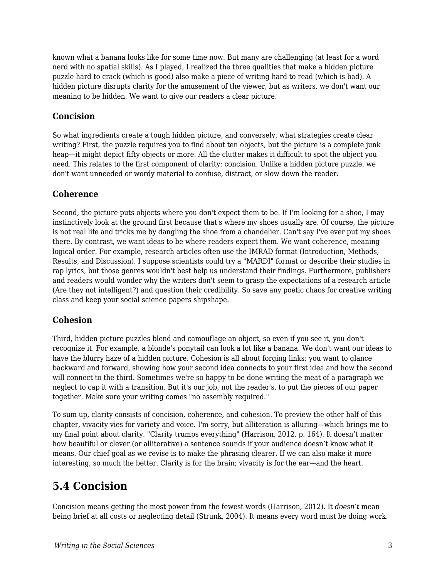known what a banana looks like for some time now. But many are challenging (at least for a word nerd with no spatial skills). As I played, I realized the three qualities that make a hidden picture puzzle hard to crack (which is good) also make a piece of writing hard to read (which is bad). A hidden picture disrupts clarity for the amusement of the viewer, but as writers, we don't want our meaning to be hidden. We want to give our readers a clear picture.

## **Concision**

So what ingredients create a tough hidden picture, and conversely, what strategies create clear writing? First, the puzzle requires you to find about ten objects, but the picture is a complete junk heap—it might depict fifty objects or more. All the clutter makes it difficult to spot the object you need. This relates to the first component of clarity: concision. Unlike a hidden picture puzzle, we don't want unneeded or wordy material to confuse, distract, or slow down the reader.

## **Coherence**

Second, the picture puts objects where you don't expect them to be. If I'm looking for a shoe, I may instinctively look at the ground first because that's where my shoes usually are. Of course, the picture is not real life and tricks me by dangling the shoe from a chandelier. Can't say I've ever put my shoes there. By contrast, we want ideas to be where readers expect them. We want coherence, meaning logical order. For example, research articles often use the IMRAD format (Introduction, Methods, Results, and Discussion). I suppose scientists could try a "MARDI" format or describe their studies in rap lyrics, but those genres wouldn't best help us understand their findings. Furthermore, publishers and readers would wonder why the writers don't seem to grasp the expectations of a research article (Are they not intelligent?) and question their credibility. So save any poetic chaos for creative writing class and keep your social science papers shipshape.

## **Cohesion**

Third, hidden picture puzzles blend and camouflage an object, so even if you see it, you don't recognize it. For example, a blonde's ponytail can look a lot like a banana. We don't want our ideas to have the blurry haze of a hidden picture. Cohesion is all about forging links: you want to glance backward and forward, showing how your second idea connects to your first idea and how the second will connect to the third. Sometimes we're so happy to be done writing the meat of a paragraph we neglect to cap it with a transition. But it's our job, not the reader's, to put the pieces of our paper together. Make sure your writing comes "no assembly required."

To sum up, clarity consists of concision, coherence, and cohesion. To preview the other half of this chapter, vivacity vies for variety and voice. I'm sorry, but alliteration is alluring—which brings me to my final point about clarity. "Clarity trumps everything" (Harrison, 2012, p. 164). It doesn't matter how beautiful or clever (or alliterative) a sentence sounds if your audience doesn't know what it means. Our chief goal as we revise is to make the phrasing clearer. If we can also make it more interesting, so much the better. Clarity is for the brain; vivacity is for the ear—and the heart.

## **5.4 Concision**

Concision means getting the most power from the fewest words (Harrison, 2012). It *doesn't* mean being brief at all costs or neglecting detail (Strunk, 2004). It means every word must be doing work.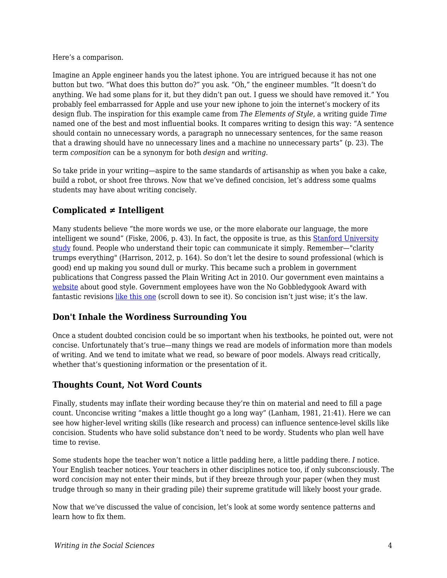Here's a comparison.

Imagine an Apple engineer hands you the latest iphone. You are intrigued because it has not one button but two. "What does this button do?" you ask. "Oh," the engineer mumbles. "It doesn't do anything. We had some plans for it, but they didn't pan out. I guess we should have removed it." You probably feel embarrassed for Apple and use your new iphone to join the internet's mockery of its design flub. The inspiration for this example came from *The Elements of Style*, a writing guide *Time* named one of the best and most influential books. It compares writing to design this way: "A sentence should contain no unnecessary words, a paragraph no unnecessary sentences, for the same reason that a drawing should have no unnecessary lines and a machine no unnecessary parts" (p. 23). The term *composition* can be a synonym for both *design* and *writing*.

So take pride in your writing—aspire to the same standards of artisanship as when you bake a cake, build a robot, or shoot free throws. Now that we've defined concision, let's address some qualms students may have about writing concisely.

## **Complicated ≠ Intelligent**

Many students believe "the more words we use, or the more elaborate our language, the more intelligent we sound" (Fiske, 2006, p. 43). In fact, the opposite is true, as this [Stanford University](https://www.businessinsider.com/use-simple-language-to-sound-smarter-2015-9) [study](https://www.businessinsider.com/use-simple-language-to-sound-smarter-2015-9) found. People who understand their topic can communicate it simply. Remember—"clarity trumps everything" (Harrison, 2012, p. 164). So don't let the desire to sound professional (which is good) end up making you sound dull or murky. This became such a problem in government publications that Congress passed the Plain Writing Act in 2010. Our government even maintains a [website](https://plainlanguage.gov/) about good style. Government employees have won the No Gobbledygook Award with fantastic revisions [like this one](https://www.plainlanguage.gov/examples/awards/award-3/) (scroll down to see it). So concision isn't just wise; it's the law.

## **Don't Inhale the Wordiness Surrounding You**

Once a student doubted concision could be so important when his textbooks, he pointed out, were not concise. Unfortunately that's true—many things we read are models of information more than models of writing. And we tend to imitate what we read, so beware of poor models. Always read critically, whether that's questioning information or the presentation of it.

## **Thoughts Count, Not Word Counts**

Finally, students may inflate their wording because they're thin on material and need to fill a page count. Unconcise writing "makes a little thought go a long way" (Lanham, 1981, 21:41). Here we can see how higher-level writing skills (like research and process) can influence sentence-level skills like concision. Students who have solid substance don't need to be wordy. Students who plan well have time to revise.

Some students hope the teacher won't notice a little padding here, a little padding there. *I* notice. Your English teacher notices. Your teachers in other disciplines notice too, if only subconsciously. The word *concision* may not enter their minds, but if they breeze through your paper (when they must trudge through so many in their grading pile) their supreme gratitude will likely boost your grade.

Now that we've discussed the value of concision, let's look at some wordy sentence patterns and learn how to fix them.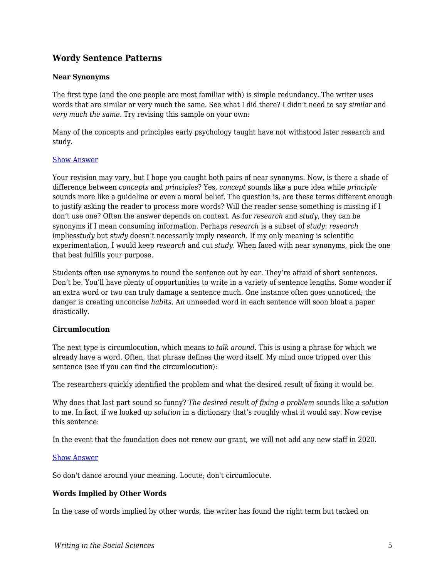### **Wordy Sentence Patterns**

#### **Near Synonyms**

The first type (and the one people are most familiar with) is simple redundancy. The writer uses words that are similar or very much the same. See what I did there? I didn't need to say *similar* and *very much the same*. Try revising this sample on your own:

Many of the concepts and principles early psychology taught have not withstood later research and study.

#### [Show Answer](https://edtechbooks.org/)

Your revision may vary, but I hope you caught both pairs of near synonyms. Now, is there a shade of difference between *concepts* and *principles*? Yes, *concept* sounds like a pure idea while *principle* sounds more like a guideline or even a moral belief. The question is, are these terms different enough to justify asking the reader to process more words? Will the reader sense something is missing if I don't use one? Often the answer depends on context. As for *research* and *study*, they can be synonyms if I mean consuming information. Perhaps *research* is a subset of *study*: *research* implies*study* but *study* doesn't necessarily imply *research.* If my only meaning is scientific experimentation, I would keep *research* and cut *study*. When faced with near synonyms, pick the one that best fulfills your purpose.

Students often use synonyms to round the sentence out by ear. They're afraid of short sentences. Don't be. You'll have plenty of opportunities to write in a variety of sentence lengths. Some wonder if an extra word or two can truly damage a sentence much. One instance often goes unnoticed; the danger is creating unconcise *habits*. An unneeded word in each sentence will soon bloat a paper drastically.

#### **Circumlocution**

The next type is circumlocution, which means *to talk around*. This is using a phrase for which we already have a word. Often, that phrase defines the word itself. My mind once tripped over this sentence (see if you can find the circumlocution):

The researchers quickly identified the problem and what the desired result of fixing it would be.

Why does that last part sound so funny? *The desired result of fixing a problem* sounds like a *solution* to me. In fact, if we looked up *solution* in a dictionary that's roughly what it would say. Now revise this sentence:

In the event that the foundation does not renew our grant, we will not add any new staff in 2020.

#### [Show Answer](https://edtechbooks.org/)

So don't dance around your meaning. Locute; don't circumlocute.

#### **Words Implied by Other Words**

In the case of words implied by other words, the writer has found the right term but tacked on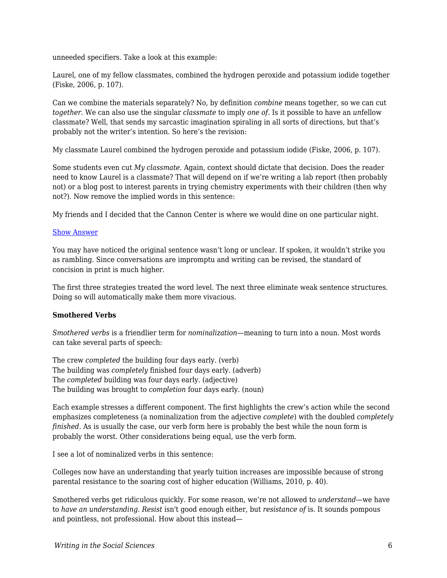unneeded specifiers. Take a look at this example:

Laurel, one of my fellow classmates, combined the hydrogen peroxide and potassium iodide together (Fiske, 2006, p. 107).

Can we combine the materials separately? No, by definition *combine* means together, so we can cut *together*. We can also use the singular *classmate* to imply *one of*. Is it possible to have an *un*fellow classmate? Well, that sends my sarcastic imagination spiraling in all sorts of directions, but that's probably not the writer's intention. So here's the revision:

My classmate Laurel combined the hydrogen peroxide and potassium iodide (Fiske, 2006, p. 107).

Some students even cut *My classmate*. Again, context should dictate that decision. Does the reader need to know Laurel is a classmate? That will depend on if we're writing a lab report (then probably not) or a blog post to interest parents in trying chemistry experiments with their children (then why not?). Now remove the implied words in this sentence:

My friends and I decided that the Cannon Center is where we would dine on one particular night.

#### [Show Answer](https://edtechbooks.org/)

You may have noticed the original sentence wasn't long or unclear. If spoken, it wouldn't strike you as rambling. Since conversations are impromptu and writing can be revised, the standard of concision in print is much higher.

The first three strategies treated the word level. The next three eliminate weak sentence structures. Doing so will automatically make them more vivacious.

#### **Smothered Verbs**

*Smothered verbs* is a friendlier term for *nominalization*—meaning to turn into a noun. Most words can take several parts of speech:

The crew *completed* the building four days early. (verb) The building was *completely* finished four days early. (adverb) The *completed* building was four days early. (adjective) The building was brought to *completion* four days early. (noun)

Each example stresses a different component. The first highlights the crew's action while the second emphasizes completeness (a nominalization from the adjective *complete*) with the doubled *completely finished*. As is usually the case, our verb form here is probably the best while the noun form is probably the worst. Other considerations being equal, use the verb form.

I see a lot of nominalized verbs in this sentence:

Colleges now have an understanding that yearly tuition increases are impossible because of strong parental resistance to the soaring cost of higher education (Williams, 2010, p. 40).

Smothered verbs get ridiculous quickly. For some reason, we're not allowed to *understand*—we have to *have an understanding*. *Resist* isn't good enough either, but *resistance of* is. It sounds pompous and pointless, not professional. How about this instead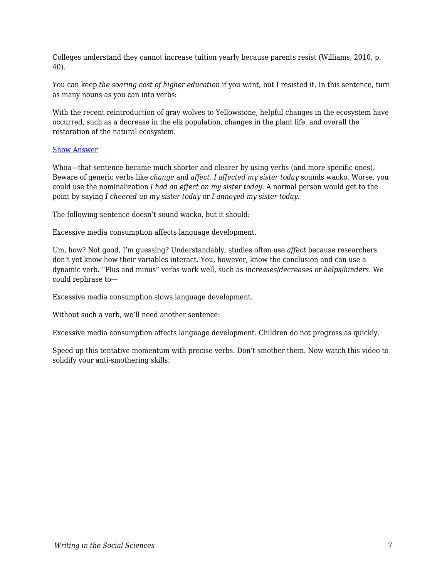Colleges understand they cannot increase tuition yearly because parents resist (Williams, 2010, p. 40).

You can keep *the soaring cost of higher education* if you want, but I resisted it. In this sentence, turn as many nouns as you can into verbs:

With the recent reintroduction of gray wolves to Yellowstone, helpful changes in the ecosystem have occurred, such as a decrease in the elk population, changes in the plant life, and overall the restoration of the natural ecosystem.

#### [Show Answer](https://edtechbooks.org/)

Whoa—that sentence became much shorter and clearer by using verbs (and more specific ones). Beware of generic verbs like *change* and *affect*. *I affected my sister today* sounds wacko. Worse, you could use the nominalization *I had an effect on my sister today*. A normal person would get to the point by saying *I cheered up my sister today* or *I annoyed my sister today*.

The following sentence doesn't sound wacko, but it should:

Excessive media consumption affects language development.

Um, how? Not good, I'm guessing? Understandably, studies often use *affect* because researchers don't yet know how their variables interact. You, however, know the conclusion and can use a dynamic verb. "Plus and minus" verbs work well, such as *increases*/*decreases* or *helps*/*hinders*. We could rephrase to—

Excessive media consumption slows language development.

Without such a verb, we'll need another sentence:

Excessive media consumption affects language development. Children do not progress as quickly.

Speed up this tentative momentum with precise verbs. Don't smother them. Now watch this video to solidify your anti-smothering skills: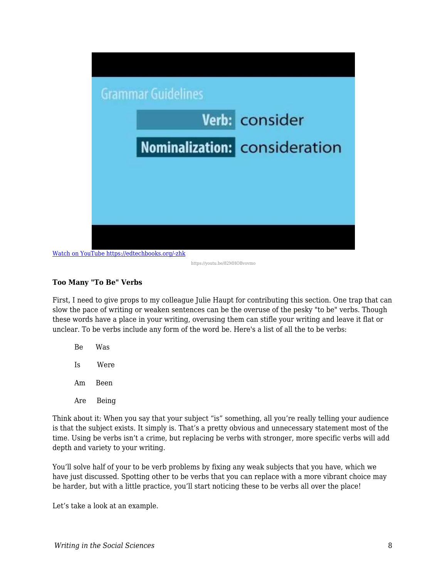

[Watch on YouTube https://edtechbooks.org/-zhk](https://www.youtube.com/embed/82MHOBvovmo?autoplay=1&rel=0&showinfo=0&modestbranding=1)

https://youtu.be/82MHOBvovmo

#### **Too Many "To Be" Verbs**

First, I need to give props to my colleague Julie Haupt for contributing this section. One trap that can slow the pace of writing or weaken sentences can be the overuse of the pesky "to be" verbs. Though these words have a place in your writing, overusing them can stifle your writing and leave it flat or unclear. To be verbs include any form of the word be. Here's a list of all the to be verbs:

Be Was Is Were

Am Been

Are Being

Think about it: When you say that your subject "is" something, all you're really telling your audience is that the subject exists. It simply is. That's a pretty obvious and unnecessary statement most of the time. Using be verbs isn't a crime, but replacing be verbs with stronger, more specific verbs will add depth and variety to your writing.

You'll solve half of your to be verb problems by fixing any weak subjects that you have, which we have just discussed. Spotting other to be verbs that you can replace with a more vibrant choice may be harder, but with a little practice, you'll start noticing these to be verbs all over the place!

Let's take a look at an example.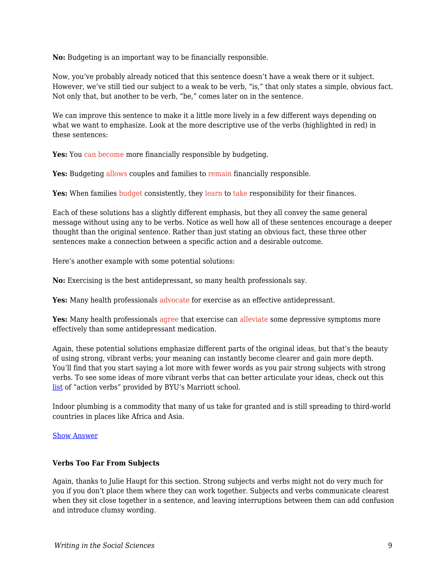**No:** Budgeting is an important way to be financially responsible.

Now, you've probably already noticed that this sentence doesn't have a weak there or it subject. However, we've still tied our subject to a weak to be verb, "is," that only states a simple, obvious fact. Not only that, but another to be verb, "be," comes later on in the sentence.

We can improve this sentence to make it a little more lively in a few different ways depending on what we want to emphasize. Look at the more descriptive use of the verbs (highlighted in red) in these sentences:

Yes: You can become more financially responsible by budgeting.

**Yes:** Budgeting allows couples and families to remain financially responsible.

Yes: When families budget consistently, they learn to take responsibility for their finances.

Each of these solutions has a slightly different emphasis, but they all convey the same general message without using any to be verbs. Notice as well how all of these sentences encourage a deeper thought than the original sentence. Rather than just stating an obvious fact, these three other sentences make a connection between a specific action and a desirable outcome.

Here's another example with some potential solutions:

**No:** Exercising is the best antidepressant, so many health professionals say.

Yes: Many health professionals advocate for exercise as an effective antidepressant.

Yes: Many health professionals agree that exercise can alleviate some depressive symptoms more effectively than some antidepressant medication.

Again, these potential solutions emphasize different parts of the original ideas, but that's the beauty of using strong, vibrant verbs; your meaning can instantly become clearer and gain more depth. You'll find that you start saying a lot more with fewer words as you pair strong subjects with strong verbs. To see some ideas of more vibrant verbs that can better articulate your ideas, check out this [list](https://marriottschool.byu.edu/internships/resumes/action-verbs/) of "action verbs" provided by BYU's Marriott school.

Indoor plumbing is a commodity that many of us take for granted and is still spreading to third-world countries in places like Africa and Asia.

#### [Show Answer](https://edtechbooks.org/)

#### **Verbs Too Far From Subjects**

Again, thanks to Julie Haupt for this section. Strong subjects and verbs might not do very much for you if you don't place them where they can work together. Subjects and verbs communicate clearest when they sit close together in a sentence, and leaving interruptions between them can add confusion and introduce clumsy wording.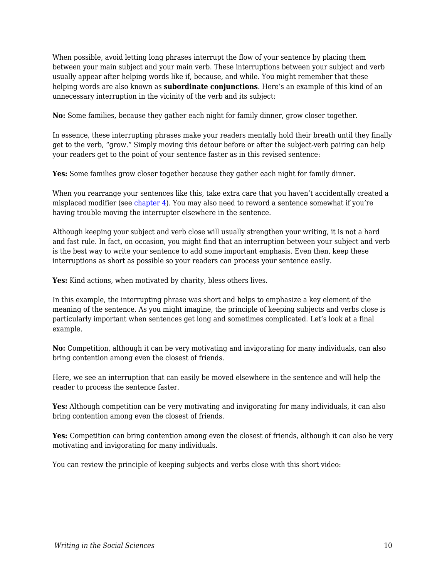When possible, avoid letting long phrases interrupt the flow of your sentence by placing them between your main subject and your main verb. These interruptions between your subject and verb usually appear after helping words like if, because, and while. You might remember that these helping words are also known as **subordinate conjunctions**. Here's an example of this kind of an unnecessary interruption in the vicinity of the verb and its subject:

**No:** Some families, because they gather each night for family dinner, grow closer together.

In essence, these interrupting phrases make your readers mentally hold their breath until they finally get to the verb, "grow." Simply moving this detour before or after the subject-verb pairing can help your readers get to the point of your sentence faster as in this revised sentence:

**Yes:** Some families grow closer together because they gather each night for family dinner.

When you rearrange your sentences like this, take extra care that you haven't accidentally created a misplaced modifier (see chapter  $4$ ). You may also need to reword a sentence somewhat if you're having trouble moving the interrupter elsewhere in the sentence.

Although keeping your subject and verb close will usually strengthen your writing, it is not a hard and fast rule. In fact, on occasion, you might find that an interruption between your subject and verb is the best way to write your sentence to add some important emphasis. Even then, keep these interruptions as short as possible so your readers can process your sentence easily.

Yes: Kind actions, when motivated by charity, bless others lives.

In this example, the interrupting phrase was short and helps to emphasize a key element of the meaning of the sentence. As you might imagine, the principle of keeping subjects and verbs close is particularly important when sentences get long and sometimes complicated. Let's look at a final example.

**No:** Competition, although it can be very motivating and invigorating for many individuals, can also bring contention among even the closest of friends.

Here, we see an interruption that can easily be moved elsewhere in the sentence and will help the reader to process the sentence faster.

**Yes:** Although competition can be very motivating and invigorating for many individuals, it can also bring contention among even the closest of friends.

**Yes:** Competition can bring contention among even the closest of friends, although it can also be very motivating and invigorating for many individuals.

You can review the principle of keeping subjects and verbs close with this short video: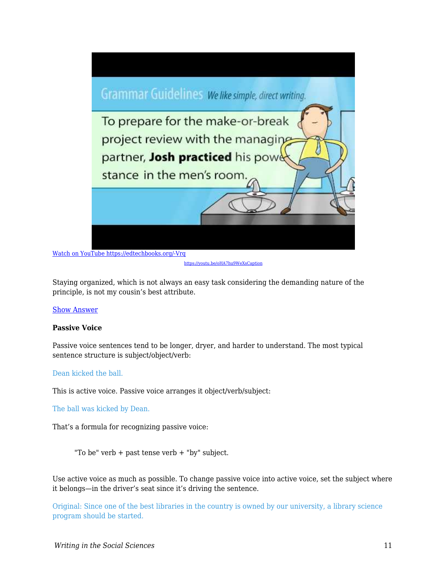

[https://youtu.be/oHA7hu9WeXsCaption](https://youtu.be/oHA7hu9WeXs)

Staying organized, which is not always an easy task considering the demanding nature of the principle, is not my cousin's best attribute.

#### [Show Answer](https://edtechbooks.org/)

#### **Passive Voice**

Passive voice sentences tend to be longer, dryer, and harder to understand. The most typical sentence structure is subject/object/verb:

#### Dean kicked the ball.

This is active voice. Passive voice arranges it object/verb/subject:

The ball was kicked by Dean.

That's a formula for recognizing passive voice:

"To be" verb + past tense verb + "by" subject.

Use active voice as much as possible. To change passive voice into active voice, set the subject where it belongs—in the driver's seat since it's driving the sentence.

Original: Since one of the best libraries in the country is owned by our university, a library science program should be started.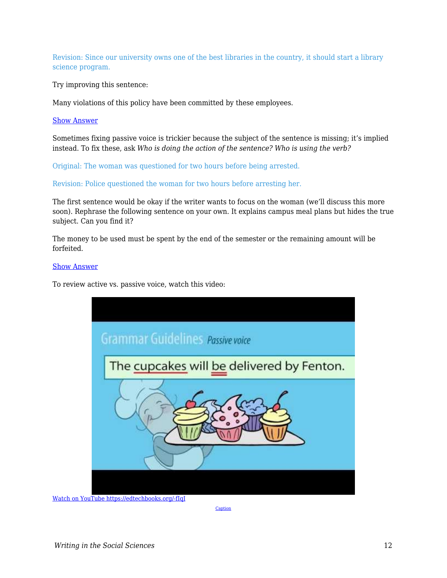Revision: Since our university owns one of the best libraries in the country, it should start a library science program.

Try improving this sentence:

Many violations of this policy have been committed by these employees.

#### [Show Answer](https://edtechbooks.org/)

Sometimes fixing passive voice is trickier because the subject of the sentence is missing; it's implied instead. To fix these, ask *Who is doing the action of the sentence? Who is using the verb?*

Original: The woman was questioned for two hours before being arrested.

Revision: Police questioned the woman for two hours before arresting her.

The first sentence would be okay if the writer wants to focus on the woman (we'll discuss this more soon). Rephrase the following sentence on your own. It explains campus meal plans but hides the true subject. Can you find it?

The money to be used must be spent by the end of the semester or the remaining amount will be forfeited.

#### [Show Answer](https://edtechbooks.org/)

To review active vs. passive voice, watch this video:



[Watch on YouTube https://edtechbooks.org/-fIqI](https://www.youtube.com/embed/yLcIIV31_eU?autoplay=1&rel=0&showinfo=0&modestbranding=1)

**[Caption](https://youtu.be/yLcIIV31_eU)**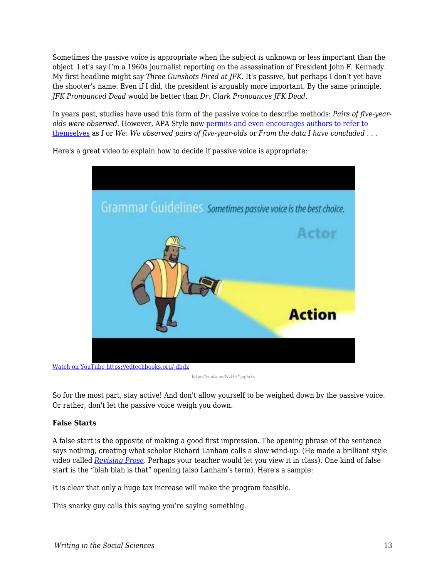Sometimes the passive voice is appropriate when the subject is unknown or less important than the object. Let's say I'm a 1960s journalist reporting on the assassination of President John F. Kennedy. My first headline might say *Three Gunshots Fired at JFK.* It's passive, but perhaps I don't yet have the shooter's name. Even if I did, the president is arguably more important. By the same principle, *JFK Pronounced Dead* would be better than *Dr. Clark Pronounces JFK Dead.*

In years past, studies have used this form of the passive voice to describe methods: *Pairs of five-yearolds were observed*. However, APA Style now [permits and even encourages authors to refer to](https://owl.purdue.edu/owl/research_and_citation/apa_style/apa_formatting_and_style_guide/apa_stylistics_basics.html) [themselves](https://owl.purdue.edu/owl/research_and_citation/apa_style/apa_formatting_and_style_guide/apa_stylistics_basics.html) as *I* or *We*: *We observed pairs of five-year-olds* or *From the data I have concluded . . .*



Here's a great video to explain how to decide if passive voice is appropriate:

https://youtu.be/WzHHYpq0aYs

So for the most part, stay active! And don't allow yourself to be weighed down by the passive voice. Or rather, don't let the passive voice weigh you down.

#### **False Starts**

A false start is the opposite of making a good first impression. The opening phrase of the sentence says nothing, creating what scholar Richard Lanham calls a slow wind-up. (He made a brilliant style video called *[Revising Prose](https://www.youtube.com/watch?v=YpRnAJuy-Ck)*. Perhaps your teacher would let you view it in class). One kind of false start is the "blah blah is that" opening (also Lanham's term). Here's a sample:

It is clear that only a huge tax increase will make the program feasible.

This snarky guy calls this saying you're saying something.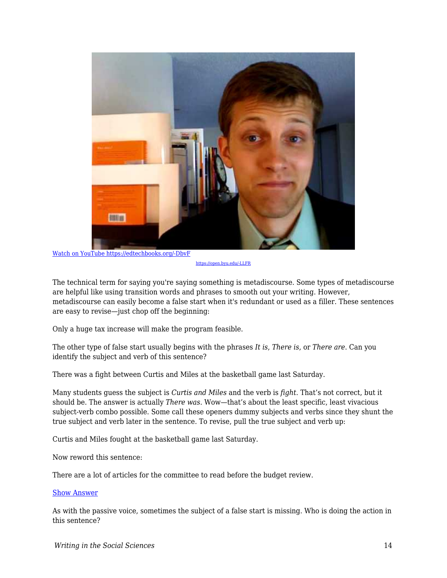

[Watch on YouTube https://edtechbooks.org/-DbvF](https://www.youtube.com/embed/cqRhnwl5y4I?autoplay=1&rel=0&showinfo=0&modestbranding=1)

[https://open.byu.edu/-LLFR](https://edtechbooks.org/writing/%20https:/youtu.be/cqRhnwl5y4I)

The technical term for saying you're saying something is metadiscourse. Some types of metadiscourse are helpful like using transition words and phrases to smooth out your writing. However, metadiscourse can easily become a false start when it's redundant or used as a filler. These sentences are easy to revise—just chop off the beginning:

Only a huge tax increase will make the program feasible.

The other type of false start usually begins with the phrases *It is*, *There is*, or *There are*. Can you identify the subject and verb of this sentence?

There was a fight between Curtis and Miles at the basketball game last Saturday.

Many students guess the subject is *Curtis and Miles* and the verb is *fight*. That's not correct, but it should be. The answer is actually *There was*. Wow—that's about the least specific, least vivacious subject-verb combo possible. Some call these openers dummy subjects and verbs since they shunt the true subject and verb later in the sentence. To revise, pull the true subject and verb up:

Curtis and Miles fought at the basketball game last Saturday.

Now reword this sentence:

There are a lot of articles for the committee to read before the budget review.

#### [Show Answer](https://edtechbooks.org/)

As with the passive voice, sometimes the subject of a false start is missing. Who is doing the action in this sentence?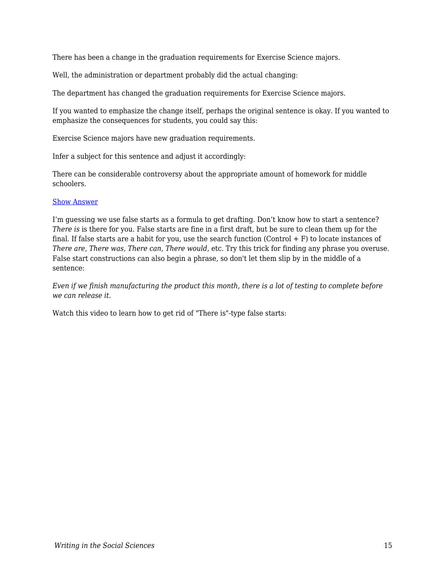There has been a change in the graduation requirements for Exercise Science majors.

Well, the administration or department probably did the actual changing:

The department has changed the graduation requirements for Exercise Science majors.

If you wanted to emphasize the change itself, perhaps the original sentence is okay. If you wanted to emphasize the consequences for students, you could say this:

Exercise Science majors have new graduation requirements.

Infer a subject for this sentence and adjust it accordingly:

There can be considerable controversy about the appropriate amount of homework for middle schoolers.

#### [Show Answer](https://edtechbooks.org/)

I'm guessing we use false starts as a formula to get drafting. Don't know how to start a sentence? *There is* is there for you. False starts are fine in a first draft, but be sure to clean them up for the final. If false starts are a habit for you, use the search function (Control  $+ F$ ) to locate instances of *There are*, *There was*, *There can, There would*, etc. Try this trick for finding any phrase you overuse. False start constructions can also begin a phrase, so don't let them slip by in the middle of a sentence:

*Even if we finish manufacturing the product this month, there is a lot of testing to complete before we can release it*.

Watch this video to learn how to get rid of "There is"-type false starts: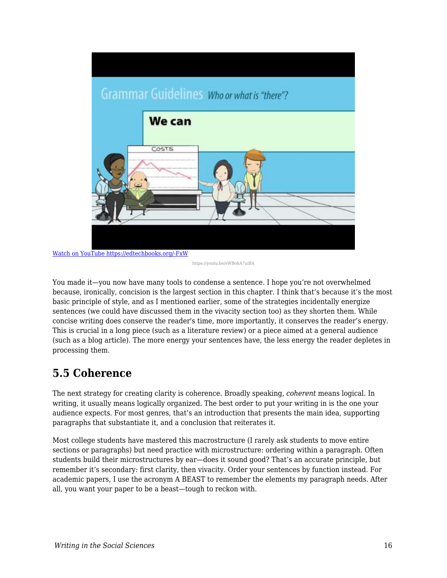

[Watch on YouTube https://edtechbooks.org/-FxW](https://www.youtube.com/embed/eWBohA7uiBA?autoplay=1&rel=0&showinfo=0&modestbranding=1)

You made it—you now have many tools to condense a sentence. I hope you're not overwhelmed because, ironically, concision is the largest section in this chapter. I think that's because it's the most basic principle of style, and as I mentioned earlier, some of the strategies incidentally energize sentences (we could have discussed them in the vivacity section too) as they shorten them. While concise writing does conserve the reader's time, more importantly, it conserves the reader's energy. This is crucial in a long piece (such as a literature review) or a piece aimed at a general audience (such as a blog article). The more energy your sentences have, the less energy the reader depletes in processing them.

## **5.5 Coherence**

The next strategy for creating clarity is coherence. Broadly speaking, *coherent* means logical. In writing, it usually means logically organized. The best order to put your writing in is the one your audience expects. For most genres, that's an introduction that presents the main idea, supporting paragraphs that substantiate it, and a conclusion that reiterates it.

Most college students have mastered this macrostructure (I rarely ask students to move entire sections or paragraphs) but need practice with microstructure: ordering within a paragraph. Often students build their microstructures by ear—does it sound good? That's an accurate principle, but remember it's secondary: first clarity, then vivacity. Order your sentences by function instead. For academic papers, I use the acronym A BEAST to remember the elements my paragraph needs. After all, you want your paper to be a beast—tough to reckon with.

https://youtu.be/eWBohA7uiBA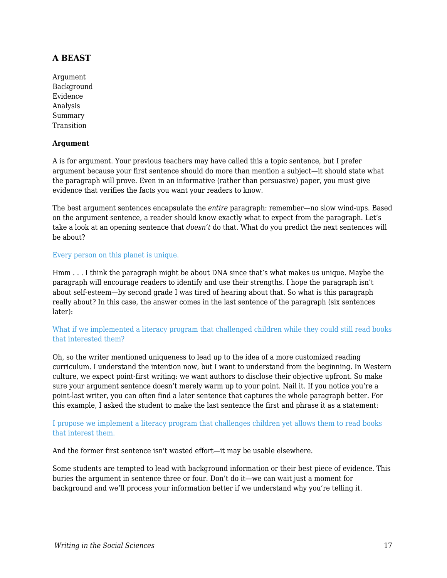## **A BEAST**

Argument Background Evidence Analysis Summary **Transition** 

#### **Argument**

A is for argument. Your previous teachers may have called this a topic sentence, but I prefer argument because your first sentence should do more than mention a subject—it should state what the paragraph will prove. Even in an informative (rather than persuasive) paper, you must give evidence that verifies the facts you want your readers to know.

The best argument sentences encapsulate the *entire* paragraph: remember—no slow wind-ups. Based on the argument sentence, a reader should know exactly what to expect from the paragraph. Let's take a look at an opening sentence that *doesn't* do that. What do you predict the next sentences will be about?

#### Every person on this planet is unique.

Hmm . . . I think the paragraph might be about DNA since that's what makes us unique. Maybe the paragraph will encourage readers to identify and use their strengths. I hope the paragraph isn't about self-esteem—by second grade I was tired of hearing about that. So what is this paragraph really about? In this case, the answer comes in the last sentence of the paragraph (six sentences later):

#### What if we implemented a literacy program that challenged children while they could still read books that interested them?

Oh, so the writer mentioned uniqueness to lead up to the idea of a more customized reading curriculum. I understand the intention now, but I want to understand from the beginning. In Western culture, we expect point-first writing: we want authors to disclose their objective upfront. So make sure your argument sentence doesn't merely warm up to your point. Nail it. If you notice you're a point-last writer, you can often find a later sentence that captures the whole paragraph better. For this example, I asked the student to make the last sentence the first and phrase it as a statement:

#### I propose we implement a literacy program that challenges children yet allows them to read books that interest them.

And the former first sentence isn't wasted effort—it may be usable elsewhere.

Some students are tempted to lead with background information or their best piece of evidence. This buries the argument in sentence three or four. Don't do it—we can wait just a moment for background and we'll process your information better if we understand why you're telling it.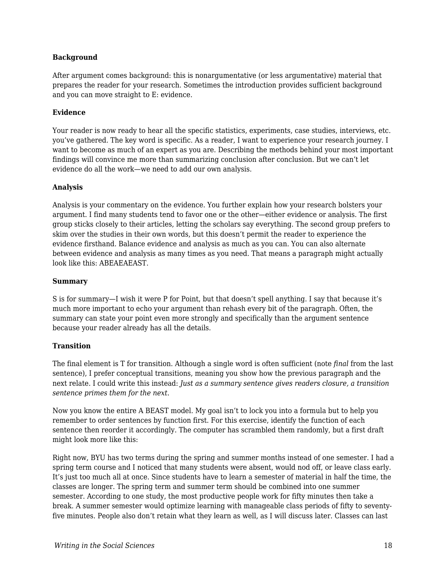#### **Background**

After argument comes background: this is nonargumentative (or less argumentative) material that prepares the reader for your research. Sometimes the introduction provides sufficient background and you can move straight to E: evidence.

#### **Evidence**

Your reader is now ready to hear all the specific statistics, experiments, case studies, interviews, etc. you've gathered. The key word is specific. As a reader, I want to experience your research journey. I want to become as much of an expert as you are. Describing the methods behind your most important findings will convince me more than summarizing conclusion after conclusion. But we can't let evidence do all the work—we need to add our own analysis.

#### **Analysis**

Analysis is your commentary on the evidence. You further explain how your research bolsters your argument. I find many students tend to favor one or the other—either evidence or analysis. The first group sticks closely to their articles, letting the scholars say everything. The second group prefers to skim over the studies in their own words, but this doesn't permit the reader to experience the evidence firsthand. Balance evidence and analysis as much as you can. You can also alternate between evidence and analysis as many times as you need. That means a paragraph might actually look like this: ABEAEAEAST.

#### **Summary**

S is for summary—I wish it were P for Point, but that doesn't spell anything. I say that because it's much more important to echo your argument than rehash every bit of the paragraph. Often, the summary can state your point even more strongly and specifically than the argument sentence because your reader already has all the details.

#### **Transition**

The final element is T for transition. Although a single word is often sufficient (note *final* from the last sentence), I prefer conceptual transitions, meaning you show how the previous paragraph and the next relate. I could write this instead: *Just as a summary sentence gives readers closure, a transition sentence primes them for the next.*

Now you know the entire A BEAST model. My goal isn't to lock you into a formula but to help you remember to order sentences by function first. For this exercise, identify the function of each sentence then reorder it accordingly. The computer has scrambled them randomly, but a first draft might look more like this:

Right now, BYU has two terms during the spring and summer months instead of one semester. I had a spring term course and I noticed that many students were absent, would nod off, or leave class early. It's just too much all at once. Since students have to learn a semester of material in half the time, the classes are longer. The spring term and summer term should be combined into one summer semester. According to one study, the most productive people work for fifty minutes then take a break. A summer semester would optimize learning with manageable class periods of fifty to seventyfive minutes. People also don't retain what they learn as well, as I will discuss later. Classes can last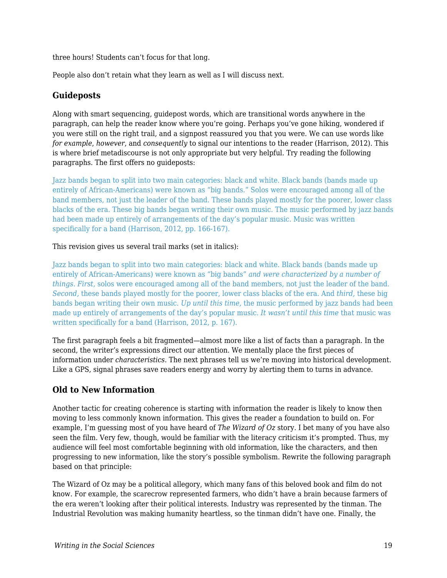three hours! Students can't focus for that long.

People also don't retain what they learn as well as I will discuss next.

## **Guideposts**

Along with smart sequencing, guidepost words, which are transitional words anywhere in the paragraph, can help the reader know where you're going. Perhaps you've gone hiking, wondered if you were still on the right trail, and a signpost reassured you that you were. We can use words like *for example*, *however*, and *consequently* to signal our intentions to the reader (Harrison, 2012). This is where brief metadiscourse is not only appropriate but very helpful. Try reading the following paragraphs. The first offers no guideposts:

Jazz bands began to split into two main categories: black and white. Black bands (bands made up entirely of African-Americans) were known as "big bands." Solos were encouraged among all of the band members, not just the leader of the band. These bands played mostly for the poorer, lower class blacks of the era. These big bands began writing their own music. The music performed by jazz bands had been made up entirely of arrangements of the day's popular music. Music was written specifically for a band (Harrison, 2012, pp. 166-167).

#### This revision gives us several trail marks (set in italics):

Jazz bands began to split into two main categories: black and white. Black bands (bands made up entirely of African-Americans) were known as "big bands" *and were characterized by a number of things. First,* solos were encouraged among all of the band members, not just the leader of the band. *Second,* these bands played mostly for the poorer, lower class blacks of the era. And *third,* these big bands began writing their own music. *Up until this time,* the music performed by jazz bands had been made up entirely of arrangements of the day's popular music. *It wasn't until this time* that music was written specifically for a band (Harrison, 2012, p. 167).

The first paragraph feels a bit fragmented—almost more like a list of facts than a paragraph. In the second, the writer's expressions direct our attention. We mentally place the first pieces of information under *characteristics*. The next phrases tell us we're moving into historical development. Like a GPS, signal phrases save readers energy and worry by alerting them to turns in advance.

## **Old to New Information**

Another tactic for creating coherence is starting with information the reader is likely to know then moving to less commonly known information. This gives the reader a foundation to build on. For example, I'm guessing most of you have heard of *The Wizard of Oz* story. I bet many of you have also seen the film. Very few, though, would be familiar with the literacy criticism it's prompted. Thus, my audience will feel most comfortable beginning with old information, like the characters, and then progressing to new information, like the story's possible symbolism. Rewrite the following paragraph based on that principle:

The Wizard of Oz may be a political allegory, which many fans of this beloved book and film do not know. For example, the scarecrow represented farmers, who didn't have a brain because farmers of the era weren't looking after their political interests. Industry was represented by the tinman. The Industrial Revolution was making humanity heartless, so the tinman didn't have one. Finally, the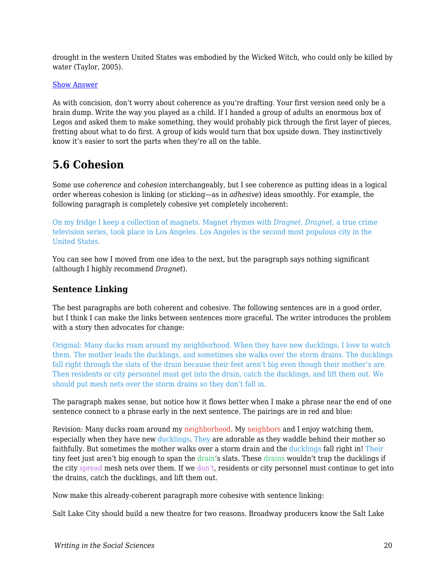drought in the western United States was embodied by the Wicked Witch, who could only be killed by water (Taylor, 2005).

#### [Show Answer](https://edtechbooks.org/)

As with concision, don't worry about coherence as you're drafting. Your first version need only be a brain dump. Write the way you played as a child. If I handed a group of adults an enormous box of Legos and asked them to make something, they would probably pick through the first layer of pieces, fretting about what to do first. A group of kids would turn that box upside down. They instinctively know it's easier to sort the parts when they're all on the table.

## **5.6 Cohesion**

Some use *coherence* and *cohesion* interchangeably, but I see coherence as putting ideas in a logical order whereas cohesion is linking (or sticking—as in *adhesive*) ideas smoothly. For example, the following paragraph is completely cohesive yet completely incoherent:

On my fridge I keep a collection of magnets. Magnet rhymes with *Dragnet*. *Dragnet*, a true crime television series, took place in Los Angeles. Los Angeles is the second most populous city in the United States.

You can see how I moved from one idea to the next, but the paragraph says nothing significant (although I highly recommend *Dragnet*).

### **Sentence Linking**

The best paragraphs are both coherent and cohesive. The following sentences are in a good order, but I think I can make the links between sentences more graceful. The writer introduces the problem with a story then advocates for change:

Original: Many ducks roam around my neighborhood. When they have new ducklings, I love to watch them. The mother leads the ducklings, and sometimes she walks over the storm drains. The ducklings fall right through the slats of the drain because their feet aren't big even though their mother's are. Then residents or city personnel must get into the drain, catch the ducklings, and lift them out. We should put mesh nets over the storm drains so they don't fall in.

The paragraph makes sense, but notice how it flows better when I make a phrase near the end of one sentence connect to a phrase early in the next sentence. The pairings are in red and blue:

Revision: Many ducks roam around my neighborhood. My neighbors and I enjoy watching them, especially when they have new ducklings. They are adorable as they waddle behind their mother so faithfully. But sometimes the mother walks over a storm drain and the ducklings fall right in! Their tiny feet just aren't big enough to span the drain's slats. These drains wouldn't trap the ducklings if the city spread mesh nets over them. If we don't, residents or city personnel must continue to get into the drains, catch the ducklings, and lift them out.

Now make this already-coherent paragraph more cohesive with sentence linking:

Salt Lake City should build a new theatre for two reasons. Broadway producers know the Salt Lake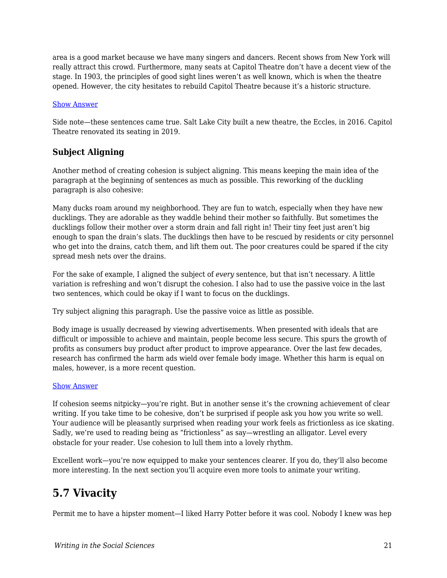area is a good market because we have many singers and dancers. Recent shows from New York will really attract this crowd. Furthermore, many seats at Capitol Theatre don't have a decent view of the stage. In 1903, the principles of good sight lines weren't as well known, which is when the theatre opened. However, the city hesitates to rebuild Capitol Theatre because it's a historic structure.

#### [Show Answer](https://edtechbooks.org/)

Side note—these sentences came true. Salt Lake City built a new theatre, the Eccles, in 2016. Capitol Theatre renovated its seating in 2019.

## **Subject Aligning**

Another method of creating cohesion is subject aligning. This means keeping the main idea of the paragraph at the beginning of sentences as much as possible. This reworking of the duckling paragraph is also cohesive:

Many ducks roam around my neighborhood. They are fun to watch, especially when they have new ducklings. They are adorable as they waddle behind their mother so faithfully. But sometimes the ducklings follow their mother over a storm drain and fall right in! Their tiny feet just aren't big enough to span the drain's slats. The ducklings then have to be rescued by residents or city personnel who get into the drains, catch them, and lift them out. The poor creatures could be spared if the city spread mesh nets over the drains.

For the sake of example, I aligned the subject of *every* sentence, but that isn't necessary. A little variation is refreshing and won't disrupt the cohesion. I also had to use the passive voice in the last two sentences, which could be okay if I want to focus on the ducklings.

Try subject aligning this paragraph. Use the passive voice as little as possible.

Body image is usually decreased by viewing advertisements. When presented with ideals that are difficult or impossible to achieve and maintain, people become less secure. This spurs the growth of profits as consumers buy product after product to improve appearance. Over the last few decades, research has confirmed the harm ads wield over female body image. Whether this harm is equal on males, however, is a more recent question.

#### [Show Answer](https://edtechbooks.org/)

If cohesion seems nitpicky—you're right. But in another sense it's the crowning achievement of clear writing. If you take time to be cohesive, don't be surprised if people ask you how you write so well. Your audience will be pleasantly surprised when reading your work feels as frictionless as ice skating. Sadly, we're used to reading being as "frictionless" as say—wrestling an alligator. Level every obstacle for your reader. Use cohesion to lull them into a lovely rhythm.

Excellent work—you're now equipped to make your sentences clearer. If you do, they'll also become more interesting. In the next section you'll acquire even more tools to animate your writing.

## **5.7 Vivacity**

Permit me to have a hipster moment—I liked Harry Potter before it was cool. Nobody I knew was hep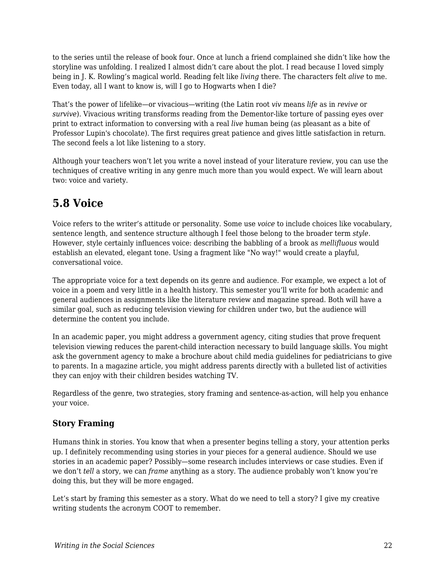to the series until the release of book four. Once at lunch a friend complained she didn't like how the storyline was unfolding. I realized I almost didn't care about the plot. I read because I loved simply being in J. K. Rowling's magical world. Reading felt like *living* there. The characters felt *alive* to me. Even today, all I want to know is, will I go to Hogwarts when I die?

That's the power of lifelike—or vivacious—writing (the Latin root *viv* means *life* as in *revive* or *survive*). Vivacious writing transforms reading from the Dementor-like torture of passing eyes over print to extract information to conversing with a real *live* human being (as pleasant as a bite of Professor Lupin's chocolate). The first requires great patience and gives little satisfaction in return. The second feels a lot like listening to a story.

Although your teachers won't let you write a novel instead of your literature review, you can use the techniques of creative writing in any genre much more than you would expect. We will learn about two: voice and variety.

## **5.8 Voice**

Voice refers to the writer's attitude or personality. Some use *voice* to include choices like vocabulary, sentence length, and sentence structure although I feel those belong to the broader term *style*. However, style certainly influences voice: describing the babbling of a brook as *mellifluous* would establish an elevated, elegant tone. Using a fragment like "No way!" would create a playful, conversational voice.

The appropriate voice for a text depends on its genre and audience. For example, we expect a lot of voice in a poem and very little in a health history. This semester you'll write for both academic and general audiences in assignments like the literature review and magazine spread. Both will have a similar goal, such as reducing television viewing for children under two, but the audience will determine the content you include.

In an academic paper, you might address a government agency, citing studies that prove frequent television viewing reduces the parent-child interaction necessary to build language skills. You might ask the government agency to make a brochure about child media guidelines for pediatricians to give to parents. In a magazine article, you might address parents directly with a bulleted list of activities they can enjoy with their children besides watching TV.

Regardless of the genre, two strategies, story framing and sentence-as-action, will help you enhance your voice.

## **Story Framing**

Humans think in stories. You know that when a presenter begins telling a story, your attention perks up. I definitely recommending using stories in your pieces for a general audience. Should we use stories in an academic paper? Possibly—some research includes interviews or case studies. Even if we don't *tell* a story, we can *frame* anything as a story. The audience probably won't know you're doing this, but they will be more engaged.

Let's start by framing this semester as a story. What do we need to tell a story? I give my creative writing students the acronym COOT to remember.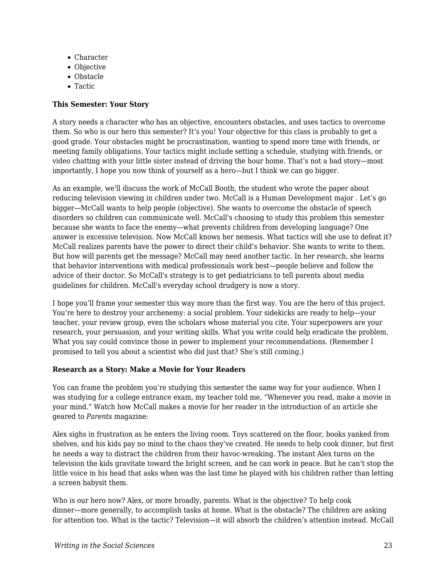- Character
- Objective
- Obstacle
- Tactic

### **This Semester: Your Story**

A story needs a character who has an objective, encounters obstacles, and uses tactics to overcome them. So who is our hero this semester? It's you! Your objective for this class is probably to get a good grade. Your obstacles might be procrastination, wanting to spend more time with friends, or meeting family obligations. Your tactics might include setting a schedule, studying with friends, or video chatting with your little sister instead of driving the hour home. That's not a bad story—most importantly, I hope you now think of yourself as a hero—but I think we can go bigger.

As an example, we'll discuss the work of McCall Booth, the student who wrote the paper about reducing television viewing in children under two. McCall is a Human Development major . Let's go bigger—McCall wants to help people (objective). She wants to overcome the obstacle of speech disorders so children can communicate well. McCall's choosing to study this problem this semester because she wants to face the enemy—what prevents children from developing language? One answer is excessive television. Now McCall knows her nemesis. What tactics will she use to defeat it? McCall realizes parents have the power to direct their child's behavior. She wants to write to them. But how will parents get the message? McCall may need another tactic. In her research, she learns that behavior interventions with medical professionals work best—people believe and follow the advice of their doctor. So McCall's strategy is to get pediatricians to tell parents about media guidelines for children. McCall's everyday school drudgery is now a story.

I hope you'll frame your semester this way more than the first way. You are the hero of this project. You're here to destroy your archenemy: a social problem. Your sidekicks are ready to help—your teacher, your review group, even the scholars whose material you cite. Your superpowers are your research, your persuasion, and your writing skills. What you write could help eradicate the problem. What you say could convince those in power to implement your recommendations. (Remember I promised to tell you about a scientist who did just that? She's still coming.)

### **Research as a Story: Make a Movie for Your Readers**

You can frame the problem you're studying this semester the same way for your audience. When I was studying for a college entrance exam, my teacher told me, "Whenever you read, make a movie in your mind." Watch how McCall makes a movie for her reader in the introduction of an article she geared to *Parents* magazine:

Alex sighs in frustration as he enters the living room. Toys scattered on the floor, books yanked from shelves, and his kids pay no mind to the chaos they've created. He needs to help cook dinner, but first he needs a way to distract the children from their havoc-wreaking. The instant Alex turns on the television the kids gravitate toward the bright screen, and he can work in peace. But he can't stop the little voice in his head that asks when was the last time he played with his children rather than letting a screen babysit them.

Who is our hero now? Alex, or more broadly, parents. What is the objective? To help cook dinner—more generally, to accomplish tasks at home. What is the obstacle? The children are asking for attention too. What is the tactic? Television—it will absorb the children's attention instead. McCall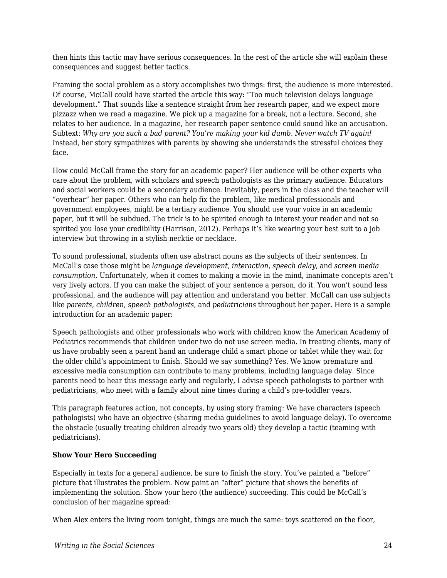then hints this tactic may have serious consequences. In the rest of the article she will explain these consequences and suggest better tactics.

Framing the social problem as a story accomplishes two things: first, the audience is more interested. Of course, McCall could have started the article this way: "Too much television delays language development." That sounds like a sentence straight from her research paper, and we expect more pizzazz when we read a magazine. We pick up a magazine for a break, not a lecture. Second, she relates to her audience. In a magazine, her research paper sentence could sound like an accusation. Subtext: *Why are you such a bad parent? You're making your kid dumb. Never watch TV again!* Instead*,* her story sympathizes with parents by showing she understands the stressful choices they face.

How could McCall frame the story for an academic paper? Her audience will be other experts who care about the problem, with scholars and speech pathologists as the primary audience. Educators and social workers could be a secondary audience. Inevitably, peers in the class and the teacher will "overhear" her paper. Others who can help fix the problem, like medical professionals and government employees, might be a tertiary audience. You should use your voice in an academic paper, but it will be subdued. The trick is to be spirited enough to interest your reader and not so spirited you lose your credibility (Harrison, 2012). Perhaps it's like wearing your best suit to a job interview but throwing in a stylish necktie or necklace.

To sound professional, students often use abstract nouns as the subjects of their sentences. In McCall's case those might be *language development*, *interaction*, *speech delay*, and *screen media consumption*. Unfortunately, when it comes to making a movie in the mind, inanimate concepts aren't very lively actors. If you can make the subject of your sentence a person, do it. You won't sound less professional, and the audience will pay attention and understand you better. McCall can use subjects like *parents*, *children*, *speech pathologists*, and *pediatricians* throughout her paper. Here is a sample introduction for an academic paper:

Speech pathologists and other professionals who work with children know the American Academy of Pediatrics recommends that children under two do not use screen media. In treating clients, many of us have probably seen a parent hand an underage child a smart phone or tablet while they wait for the older child's appointment to finish. Should we say something? Yes. We know premature and excessive media consumption can contribute to many problems, including language delay. Since parents need to hear this message early and regularly, I advise speech pathologists to partner with pediatricians, who meet with a family about nine times during a child's pre-toddler years.

This paragraph features action, not concepts, by using story framing: We have characters (speech pathologists) who have an objective (sharing media guidelines to avoid language delay). To overcome the obstacle (usually treating children already two years old) they develop a tactic (teaming with pediatricians).

#### **Show Your Hero Succeeding**

Especially in texts for a general audience, be sure to finish the story. You've painted a "before" picture that illustrates the problem. Now paint an "after" picture that shows the benefits of implementing the solution. Show your hero (the audience) succeeding. This could be McCall's conclusion of her magazine spread:

When Alex enters the living room tonight, things are much the same: toys scattered on the floor,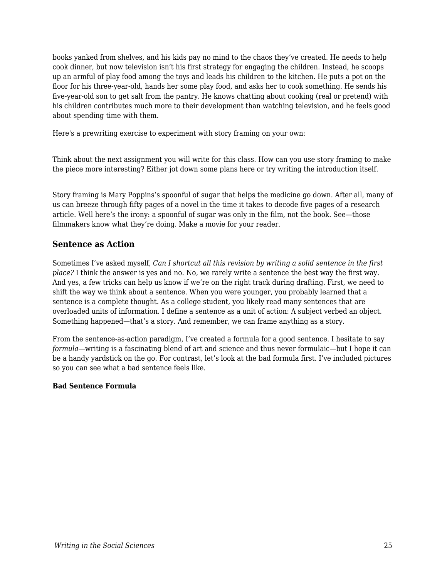books yanked from shelves, and his kids pay no mind to the chaos they've created. He needs to help cook dinner, but now television isn't his first strategy for engaging the children. Instead, he scoops up an armful of play food among the toys and leads his children to the kitchen. He puts a pot on the floor for his three-year-old, hands her some play food, and asks her to cook something. He sends his five-year-old son to get salt from the pantry. He knows chatting about cooking (real or pretend) with his children contributes much more to their development than watching television, and he feels good about spending time with them.

Here's a prewriting exercise to experiment with story framing on your own:

Think about the next assignment you will write for this class. How can you use story framing to make the piece more interesting? Either jot down some plans here or try writing the introduction itself.

Story framing is Mary Poppins's spoonful of sugar that helps the medicine go down. After all, many of us can breeze through fifty pages of a novel in the time it takes to decode five pages of a research article. Well here's the irony: a spoonful of sugar was only in the film, not the book. See—those filmmakers know what they're doing. Make a movie for your reader.

### **Sentence as Action**

Sometimes I've asked myself, *Can I shortcut all this revision by writing a solid sentence in the first place?* I think the answer is yes and no. No, we rarely write a sentence the best way the first way. And yes, a few tricks can help us know if we're on the right track during drafting. First, we need to shift the way we think about a sentence. When you were younger, you probably learned that a sentence is a complete thought. As a college student, you likely read many sentences that are overloaded units of information. I define a sentence as a unit of action: A subject verbed an object. Something happened—that's a story. And remember, we can frame anything as a story.

From the sentence-as-action paradigm, I've created a formula for a good sentence. I hesitate to say *formula*—writing is a fascinating blend of art and science and thus never formulaic—but I hope it can be a handy yardstick on the go. For contrast, let's look at the bad formula first. I've included pictures so you can see what a bad sentence feels like.

#### **Bad Sentence Formula**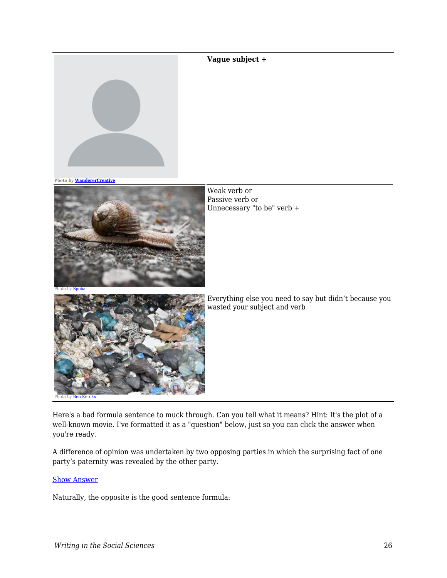#### **Vague subject +**



**Photo by [WandererCreative](https://pixabay.com/vectors/blank-profile-picture-mystery-man-973460/)**



Weak verb or Passive verb or Unnecessary "to be" verb +



Everything else you need to say but didn't because you wasted your subject and verb

Here's a bad formula sentence to muck through. Can you tell what it means? Hint: It's the plot of a well-known movie. I've formatted it as a "question" below, just so you can click the answer when you're ready.

A difference of opinion was undertaken by two opposing parties in which the surprising fact of one party's paternity was revealed by the other party.

#### [Show Answer](https://edtechbooks.org/)

Naturally, the opposite is the good sentence formula: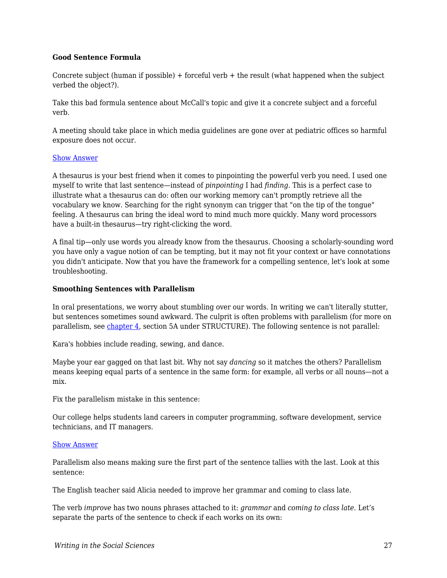#### **Good Sentence Formula**

Concrete subject (human if possible) + forceful verb + the result (what happened when the subject verbed the object?).

Take this bad formula sentence about McCall's topic and give it a concrete subject and a forceful verb.

A meeting should take place in which media guidelines are gone over at pediatric offices so harmful exposure does not occur.

#### [Show Answer](https://edtechbooks.org/)

A thesaurus is your best friend when it comes to pinpointing the powerful verb you need. I used one myself to write that last sentence—instead of *pinpointing* I had *finding*. This is a perfect case to illustrate what a thesaurus can do: often our working memory can't promptly retrieve all the vocabulary we know. Searching for the right synonym can trigger that "on the tip of the tongue" feeling. A thesaurus can bring the ideal word to mind much more quickly. Many word processors have a built-in thesaurus—try right-clicking the word.

A final tip—only use words you already know from the thesaurus. Choosing a scholarly-sounding word you have only a vague notion of can be tempting, but it may not fit your context or have connotations you didn't anticipate. Now that you have the framework for a compelling sentence, let's look at some troubleshooting.

#### **Smoothing Sentences with Parallelism**

In oral presentations, we worry about stumbling over our words. In writing we can't literally stutter, but sentences sometimes sound awkward. The culprit is often problems with parallelism (for more on parallelism, see [chapter 4](https://edtechbooks.org/writing/grammar_mechanics), section 5A under STRUCTURE). The following sentence is not parallel:

Kara's hobbies include reading, sewing, and dance.

Maybe your ear gagged on that last bit. Why not say *dancing* so it matches the others? Parallelism means keeping equal parts of a sentence in the same form: for example, all verbs or all nouns—not a mix.

Fix the parallelism mistake in this sentence:

Our college helps students land careers in computer programming, software development, service technicians, and IT managers.

#### [Show Answer](https://edtechbooks.org/)

Parallelism also means making sure the first part of the sentence tallies with the last. Look at this sentence:

The English teacher said Alicia needed to improve her grammar and coming to class late.

The verb *improve* has two nouns phrases attached to it: *grammar* and *coming to class late*. Let's separate the parts of the sentence to check if each works on its own: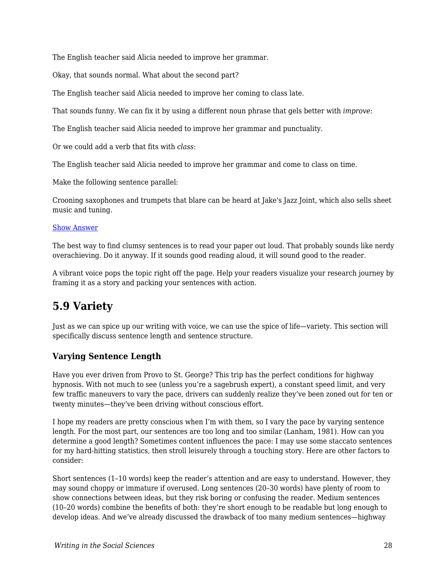The English teacher said Alicia needed to improve her grammar.

Okay, that sounds normal. What about the second part?

The English teacher said Alicia needed to improve her coming to class late.

That sounds funny. We can fix it by using a different noun phrase that gels better with *improve*:

The English teacher said Alicia needed to improve her grammar and punctuality.

Or we could add a verb that fits with *class*:

The English teacher said Alicia needed to improve her grammar and come to class on time.

Make the following sentence parallel:

Crooning saxophones and trumpets that blare can be heard at Jake's Jazz Joint, which also sells sheet music and tuning.

#### [Show Answer](https://edtechbooks.org/)

The best way to find clumsy sentences is to read your paper out loud. That probably sounds like nerdy overachieving. Do it anyway. If it sounds good reading aloud, it will sound good to the reader.

A vibrant voice pops the topic right off the page. Help your readers visualize your research journey by framing it as a story and packing your sentences with action.

## **5.9 Variety**

Just as we can spice up our writing with voice, we can use the spice of life—variety. This section will specifically discuss sentence length and sentence structure.

### **Varying Sentence Length**

Have you ever driven from Provo to St. George? This trip has the perfect conditions for highway hypnosis. With not much to see (unless you're a sagebrush expert), a constant speed limit, and very few traffic maneuvers to vary the pace, drivers can suddenly realize they've been zoned out for ten or twenty minutes—they've been driving without conscious effort.

I hope my readers are pretty conscious when I'm with them, so I vary the pace by varying sentence length. For the most part, our sentences are too long and too similar (Lanham, 1981). How can you determine a good length? Sometimes content influences the pace: I may use some staccato sentences for my hard-hitting statistics, then stroll leisurely through a touching story. Here are other factors to consider:

Short sentences (1–10 words) keep the reader's attention and are easy to understand. However, they may sound choppy or immature if overused. Long sentences (20–30 words) have plenty of room to show connections between ideas, but they risk boring or confusing the reader. Medium sentences (10–20 words) combine the benefits of both: they're short enough to be readable but long enough to develop ideas. And we've already discussed the drawback of too many medium sentences—highway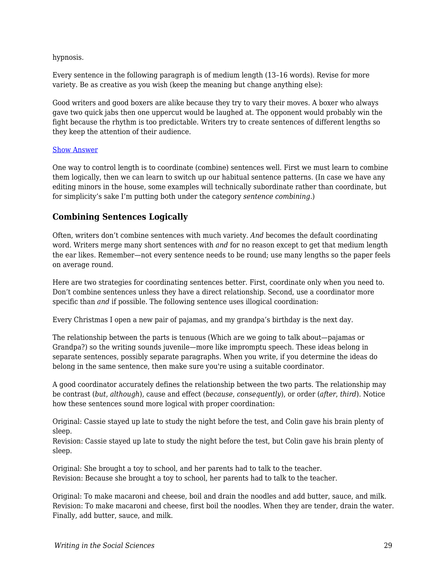hypnosis.

Every sentence in the following paragraph is of medium length (13–16 words). Revise for more variety. Be as creative as you wish (keep the meaning but change anything else):

Good writers and good boxers are alike because they try to vary their moves. A boxer who always gave two quick jabs then one uppercut would be laughed at. The opponent would probably win the fight because the rhythm is too predictable. Writers try to create sentences of different lengths so they keep the attention of their audience.

#### [Show Answer](https://edtechbooks.org/)

One way to control length is to coordinate (combine) sentences well. First we must learn to combine them logically, then we can learn to switch up our habitual sentence patterns. (In case we have any editing minors in the house, some examples will technically subordinate rather than coordinate, but for simplicity's sake I'm putting both under the category *sentence combining.*)

### **Combining Sentences Logically**

Often, writers don't combine sentences with much variety. *And* becomes the default coordinating word. Writers merge many short sentences with *and* for no reason except to get that medium length the ear likes. Remember—not every sentence needs to be round; use many lengths so the paper feels on average round.

Here are two strategies for coordinating sentences better. First, coordinate only when you need to. Don't combine sentences unless they have a direct relationship. Second, use a coordinator more specific than *and* if possible. The following sentence uses illogical coordination:

Every Christmas I open a new pair of pajamas, and my grandpa's birthday is the next day.

The relationship between the parts is tenuous (Which are we going to talk about—pajamas or Grandpa?) so the writing sounds juvenile—more like impromptu speech. These ideas belong in separate sentences, possibly separate paragraphs. When you write, if you determine the ideas do belong in the same sentence, then make sure you're using a suitable coordinator.

A good coordinator accurately defines the relationship between the two parts. The relationship may be contrast (*but*, *although*), cause and effect (*because*, *consequently*), or order (*after*, *third*). Notice how these sentences sound more logical with proper coordination:

Original: Cassie stayed up late to study the night before the test, and Colin gave his brain plenty of sleep.

Revision: Cassie stayed up late to study the night before the test, but Colin gave his brain plenty of sleep.

Original: She brought a toy to school, and her parents had to talk to the teacher. Revision: Because she brought a toy to school, her parents had to talk to the teacher.

Original: To make macaroni and cheese, boil and drain the noodles and add butter, sauce, and milk. Revision: To make macaroni and cheese, first boil the noodles. When they are tender, drain the water. Finally, add butter, sauce, and milk.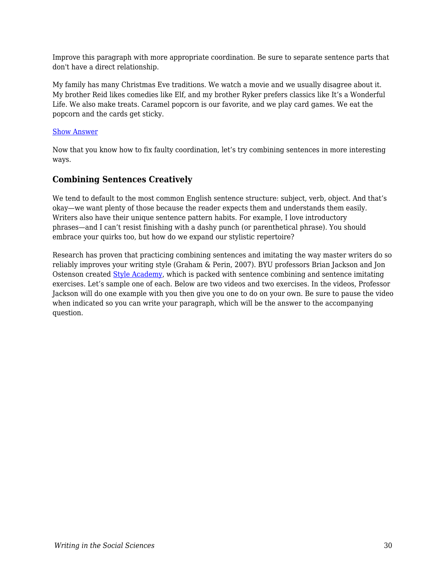Improve this paragraph with more appropriate coordination. Be sure to separate sentence parts that don't have a direct relationship.

My family has many Christmas Eve traditions. We watch a movie and we usually disagree about it. My brother Reid likes comedies like Elf, and my brother Ryker prefers classics like It's a Wonderful Life. We also make treats. Caramel popcorn is our favorite, and we play card games. We eat the popcorn and the cards get sticky.

#### [Show Answer](https://edtechbooks.org/)

Now that you know how to fix faulty coordination, let's try combining sentences in more interesting ways.

### **Combining Sentences Creatively**

We tend to default to the most common English sentence structure: subject, verb, object. And that's okay—we want plenty of those because the reader expects them and understands them easily. Writers also have their unique sentence pattern habits. For example, I love introductory phrases—and I can't resist finishing with a dashy punch (or parenthetical phrase). You should embrace your quirks too, but how do we expand our stylistic repertoire?

Research has proven that practicing combining sentences and imitating the way master writers do so reliably improves your writing style (Graham & Perin, 2007). BYU professors Brian Jackson and Jon Ostenson created [Style Academy](http://styleacademy.byu.edu/), which is packed with sentence combining and sentence imitating exercises. Let's sample one of each. Below are two videos and two exercises. In the videos, Professor Jackson will do one example with you then give you one to do on your own. Be sure to pause the video when indicated so you can write your paragraph, which will be the answer to the accompanying question.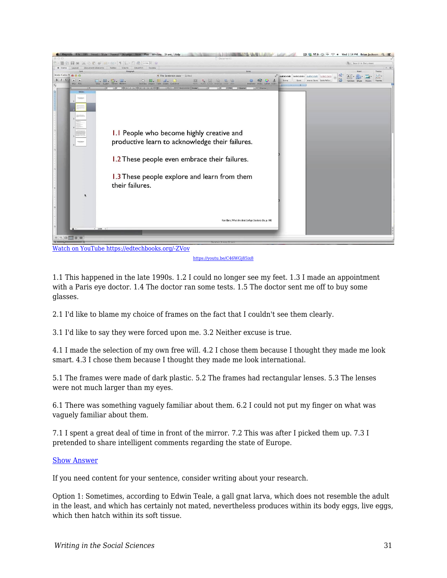

<https://youtu.be/C46WGj85ix8>

1.1 This happened in the late 1990s. 1.2 I could no longer see my feet. 1.3 I made an appointment with a Paris eye doctor. 1.4 The doctor ran some tests. 1.5 The doctor sent me off to buy some glasses.

2.1 I'd like to blame my choice of frames on the fact that I couldn't see them clearly.

3.1 I'd like to say they were forced upon me. 3.2 Neither excuse is true.

4.1 I made the selection of my own free will. 4.2 I chose them because I thought they made me look smart. 4.3 I chose them because I thought they made me look international.

5.1 The frames were made of dark plastic. 5.2 The frames had rectangular lenses. 5.3 The lenses were not much larger than my eyes.

6.1 There was something vaguely familiar about them. 6.2 I could not put my finger on what was vaguely familiar about them.

7.1 I spent a great deal of time in front of the mirror. 7.2 This was after I picked them up. 7.3 I pretended to share intelligent comments regarding the state of Europe.

#### [Show Answer](https://edtechbooks.org/)

If you need content for your sentence, consider writing about your research.

Option 1: Sometimes, according to Edwin Teale, a gall gnat larva, which does not resemble the adult in the least, and which has certainly not mated, nevertheless produces within its body eggs, live eggs, which then hatch within its soft tissue.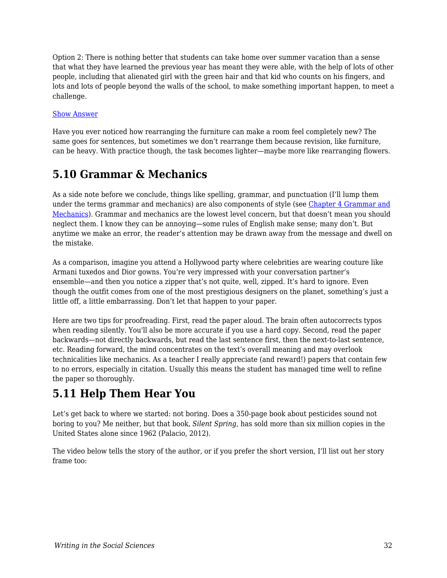Option 2: There is nothing better that students can take home over summer vacation than a sense that what they have learned the previous year has meant they were able, with the help of lots of other people, including that alienated girl with the green hair and that kid who counts on his fingers, and lots and lots of people beyond the walls of the school, to make something important happen, to meet a challenge.

#### [Show Answer](https://edtechbooks.org/)

Have you ever noticed how rearranging the furniture can make a room feel completely new? The same goes for sentences, but sometimes we don't rearrange them because revision, like furniture, can be heavy. With practice though, the task becomes lighter—maybe more like rearranging flowers.

## **5.10 Grammar & Mechanics**

As a side note before we conclude, things like spelling, grammar, and punctuation (I'll lump them under the terms grammar and mechanics) are also components of style (see [Chapter 4 Grammar and](https://edtechbooks.org/writing/grammar_mechanics) [Mechanics](https://edtechbooks.org/writing/grammar_mechanics)). Grammar and mechanics are the lowest level concern, but that doesn't mean you should neglect them. I know they can be annoying—some rules of English make sense; many don't. But anytime we make an error, the reader's attention may be drawn away from the message and dwell on the mistake.

As a comparison, imagine you attend a Hollywood party where celebrities are wearing couture like Armani tuxedos and Dior gowns. You're very impressed with your conversation partner's ensemble—and then you notice a zipper that's not quite, well, zipped. It's hard to ignore. Even though the outfit comes from one of the most prestigious designers on the planet, something's just a little off, a little embarrassing. Don't let that happen to your paper.

Here are two tips for proofreading. First, read the paper aloud. The brain often autocorrects typos when reading silently. You'll also be more accurate if you use a hard copy. Second, read the paper backwards—not directly backwards, but read the last sentence first, then the next-to-last sentence, etc. Reading forward, the mind concentrates on the text's overall meaning and may overlook technicalities like mechanics. As a teacher I really appreciate (and reward!) papers that contain few to no errors, especially in citation. Usually this means the student has managed time well to refine the paper so thoroughly.

## **5.11 Help Them Hear You**

Let's get back to where we started: not boring. Does a 350-page book about pesticides sound not boring to you? Me neither, but that book, *Silent Spring*, has sold more than six million copies in the United States alone since 1962 (Palacio, 2012).

The video below tells the story of the author, or if you prefer the short version, I'll list out her story frame too: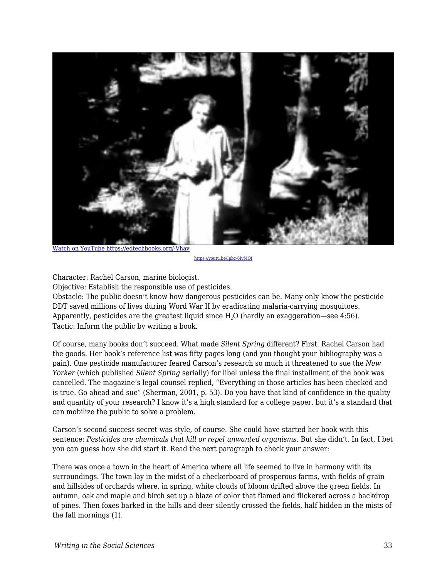

[Watch on YouTube https://edtechbooks.org/-Vhav](https://www.youtube.com/embed/Ipbc-6IvMQI?autoplay=1&rel=0&showinfo=0&modestbranding=1)

<https://youtu.be/Ipbc-6IvMQI>

Character: Rachel Carson, marine biologist.

Objective: Establish the responsible use of pesticides.

Obstacle: The public doesn't know how dangerous pesticides can be. Many only know the pesticide DDT saved millions of lives during Word War II by eradicating malaria-carrying mosquitoes. Apparently, pesticides are the greatest liquid since  $H<sub>2</sub>O$  (hardly an exaggeration—see 4:56). Tactic: Inform the public by writing a book.

Of course, many books don't succeed. What made *Silent Spring* different? First, Rachel Carson had the goods. Her book's reference list was fifty pages long (and you thought your bibliography was a pain). One pesticide manufacturer feared Carson's research so much it threatened to sue the *New Yorker* (which published *Silent Spring* serially) for libel unless the final installment of the book was cancelled. The magazine's legal counsel replied, "Everything in those articles has been checked and is true. Go ahead and sue" (Sherman, 2001, p. 53). Do you have that kind of confidence in the quality and quantity of your research? I know it's a high standard for a college paper, but it's a standard that can mobilize the public to solve a problem.

Carson's second success secret was style, of course. She could have started her book with this sentence: *Pesticides are chemicals that kill or repel unwanted organisms*. But she didn't. In fact, I bet you can guess how she did start it. Read the next paragraph to check your answer:

There was once a town in the heart of America where all life seemed to live in harmony with its surroundings. The town lay in the midst of a checkerboard of prosperous farms, with fields of grain and hillsides of orchards where, in spring, white clouds of bloom drifted above the green fields. In autumn, oak and maple and birch set up a blaze of color that flamed and flickered across a backdrop of pines. Then foxes barked in the hills and deer silently crossed the fields, half hidden in the mists of the fall mornings (1).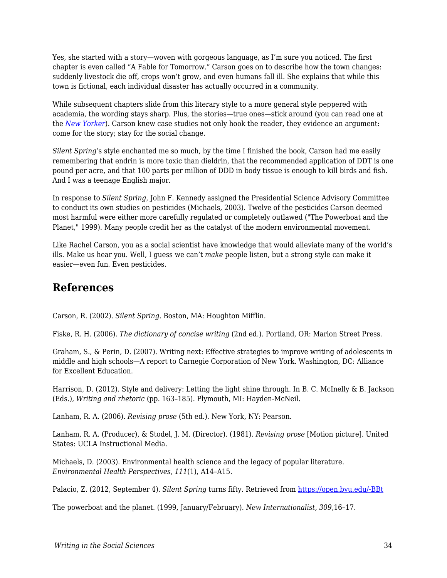Yes, she started with a story—woven with gorgeous language, as I'm sure you noticed. The first chapter is even called "A Fable for Tomorrow." Carson goes on to describe how the town changes: suddenly livestock die off, crops won't grow, and even humans fall ill. She explains that while this town is fictional, each individual disaster has actually occurred in a community.

While subsequent chapters slide from this literary style to a more general style peppered with academia, the wording stays sharp. Plus, the stories—true ones—stick around (you can read one at the *[New Yorker](https://www.newyorker.com/books/double-take/eighty-five-from-the-archive-rachel-carson)*). Carson knew case studies not only hook the reader, they evidence an argument: come for the story; stay for the social change.

*Silent Spring'*s style enchanted me so much, by the time I finished the book, Carson had me easily remembering that endrin is more toxic than dieldrin, that the recommended application of DDT is one pound per acre, and that 100 parts per million of DDD in body tissue is enough to kill birds and fish. And I was a teenage English major.

In response to *Silent Spring*, John F. Kennedy assigned the Presidential Science Advisory Committee to conduct its own studies on pesticides (Michaels, 2003). Twelve of the pesticides Carson deemed most harmful were either more carefully regulated or completely outlawed ("The Powerboat and the Planet," 1999). Many people credit her as the catalyst of the modern environmental movement.

Like Rachel Carson, you as a social scientist have knowledge that would alleviate many of the world's ills. Make us hear you. Well, I guess we can't *make* people listen, but a strong style can make it easier—even fun. Even pesticides.

## **References**

Carson, R. (2002). *Silent Spring*. Boston, MA: Houghton Mifflin.

Fiske, R. H. (2006). *The dictionary of concise writing* (2nd ed.). Portland, OR: Marion Street Press.

Graham, S., & Perin, D. (2007). Writing next: Effective strategies to improve writing of adolescents in middle and high schools—A report to Carnegie Corporation of New York. Washington, DC: Alliance for Excellent Education.

Harrison, D. (2012). Style and delivery: Letting the light shine through. In B. C. McInelly & B. Jackson (Eds.), *Writing and rhetoric* (pp. 163–185). Plymouth, MI: Hayden-McNeil.

Lanham, R. A. (2006). *Revising prose* (5th ed.). New York, NY: Pearson.

Lanham, R. A. (Producer), & Stodel, J. M. (Director). (1981). *Revising prose* [Motion picture]. United States: UCLA Instructional Media.

Michaels, D. (2003). Environmental health science and the legacy of popular literature. *Environmental Health Perspectives, 111*(1), A14–A15.

Palacio, Z. (2012, September 4). *Silent Spring* turns fifty. Retrieved from [https://open.byu.edu/-BBt](https://www.voanews.com/usa/silent-spring-turns-fifty)

The powerboat and the planet. (1999, January/February). *New Internationalist, 309,*16–17.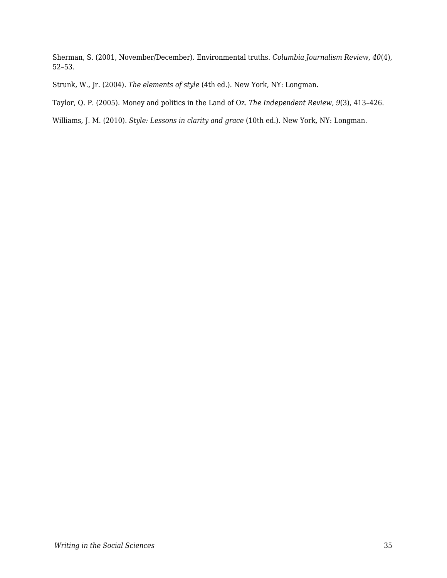Sherman, S. (2001, November/December). Environmental truths. *Columbia Journalism Review, 40*(4), 52–53.

Strunk, W., Jr. (2004). *The elements of style* (4th ed.). New York, NY: Longman.

Taylor, Q. P. (2005). Money and politics in the Land of Oz. *The Independent Review, 9*(3), 413–426.

Williams, J. M. (2010). *Style: Lessons in clarity and grace* (10th ed.). New York, NY: Longman.